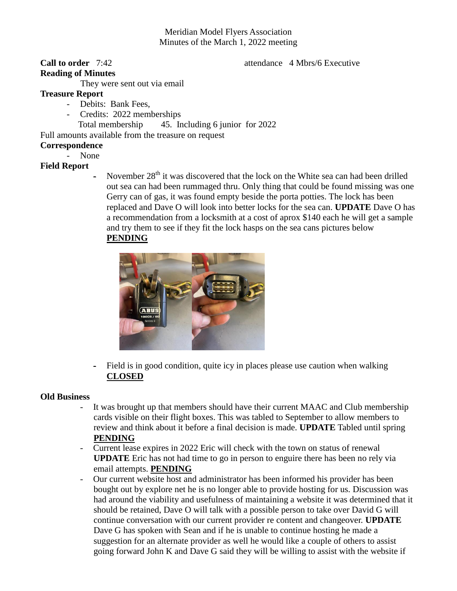# Meridian Model Flyers Association Minutes of the March 1, 2022 meeting

# **Reading of Minutes**

#### **Call to order** 7:42 **attendance 4 Mbrs/6 Executive**

They were sent out via email

#### **Treasure Report**

- Debits: Bank Fees,
- Credits: 2022 memberships
	- Total membership 45. Including 6 junior for 2022

Full amounts available from the treasure on request

## **Correspondence**

- None

# **Field Report**

- November  $28<sup>th</sup>$  it was discovered that the lock on the White sea can had been drilled out sea can had been rummaged thru. Only thing that could be found missing was one Gerry can of gas, it was found empty beside the porta potties. The lock has been replaced and Dave O will look into better locks for the sea can. **UPDATE** Dave O has a recommendation from a locksmith at a cost of aprox \$140 each he will get a sample and try them to see if they fit the lock hasps on the sea cans pictures below **PENDING**



- Field is in good condition, quite icy in places please use caution when walking **CLOSED**

# **Old Business**

- It was brought up that members should have their current MAAC and Club membership cards visible on their flight boxes. This was tabled to September to allow members to review and think about it before a final decision is made. **UPDATE** Tabled until spring **PENDING**
- Current lease expires in 2022 Eric will check with the town on status of renewal **UPDATE** Eric has not had time to go in person to enguire there has been no rely via email attempts. **PENDING**
- Our current website host and administrator has been informed his provider has been bought out by explore net he is no longer able to provide hosting for us. Discussion was had around the viability and usefulness of maintaining a website it was determined that it should be retained, Dave O will talk with a possible person to take over David G will continue conversation with our current provider re content and changeover. **UPDATE** Dave G has spoken with Sean and if he is unable to continue hosting he made a suggestion for an alternate provider as well he would like a couple of others to assist going forward John K and Dave G said they will be willing to assist with the website if